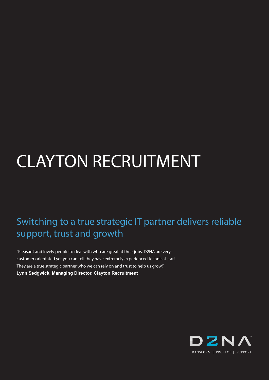